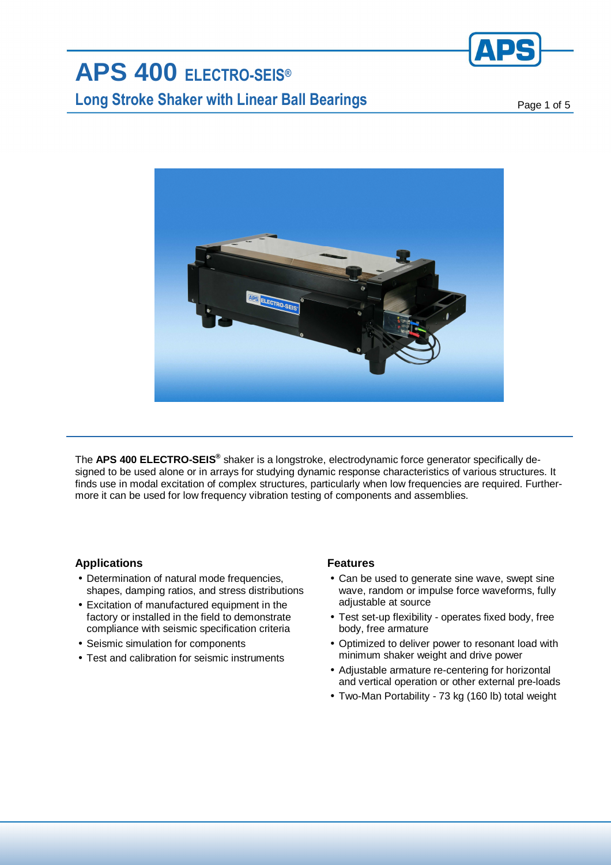

# **APS 400 ELECTRO-SEIS® Long Stroke Shaker with Linear Ball Bearings Page 1 of 5** and 5



The **APS 400 ELECTRO-SEIS®** shaker is a longstroke, electrodynamic force generator specifically designed to be used alone or in arrays for studying dynamic response characteristics of various structures. It finds use in modal excitation of complex structures, particularly when low frequencies are required. Furthermore it can be used for low frequency vibration testing of components and assemblies.

### **Applications**

- Determination of natural mode frequencies, shapes, damping ratios, and stress distributions
- Excitation of manufactured equipment in the factory or installed in the field to demonstrate compliance with seismic specification criteria
- Seismic simulation for components
- Test and calibration for seismic instruments

### **Features**

- Can be used to generate sine wave, swept sine wave, random or impulse force waveforms, fully adiustable at source
- Test set-up flexibility operates fixed body, free body, free armature
- Optimized to deliver power to resonant load with minimum shaker weight and drive power
- Adjustable armature re-centering for horizontal and vertical operation or other external pre-loads
- Two-Man Portability 73 kg (160 lb) total weight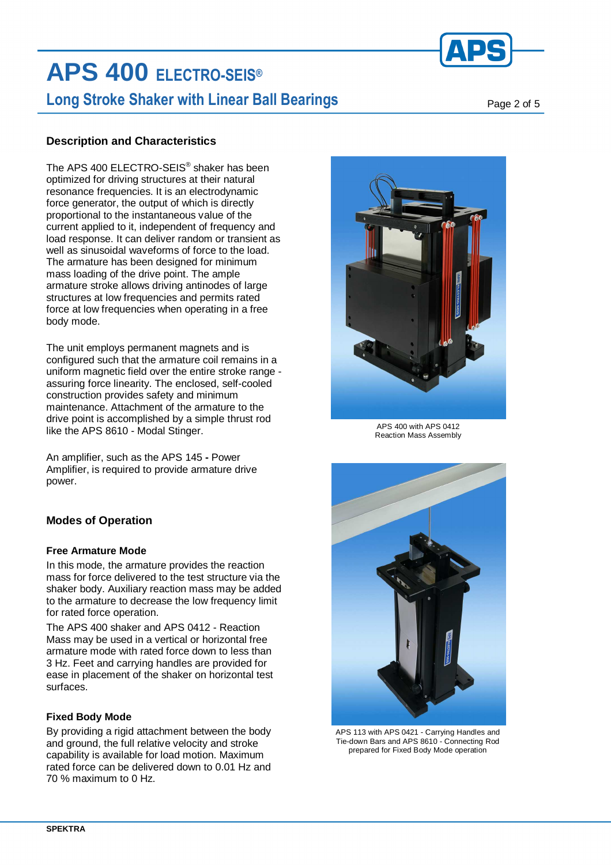

# **APS 400 ELECTRO-SEIS® Long Stroke Shaker with Linear Ball Bearings Page 2 of 5** and  $P_{\text{age 2 of 5}}$

### **Description and Characteristics**

The APS 400 ELECTRO-SEIS® shaker has been optimized for driving structures at their natural resonance frequencies. It is an electrodynamic force generator, the output of which is directly proportional to the instantaneous value of the current applied to it, independent of frequency and load response. It can deliver random or transient as well as sinusoidal waveforms of force to the load. The armature has been designed for minimum mass loading of the drive point. The ample armature stroke allows driving antinodes of large structures at low frequencies and permits rated force at low frequencies when operating in a free body mode.

The unit employs permanent magnets and is configured such that the armature coil remains in a uniform magnetic field over the entire stroke range assuring force linearity. The enclosed, self-cooled construction provides safety and minimum maintenance. Attachment of the armature to the drive point is accomplished by a simple thrust rod like the APS 8610 - Modal Stinger.

An amplifier, such as the APS 145 **-** Power Amplifier, is required to provide armature drive power.

### **Modes of Operation**

### **Free Armature Mode**

In this mode, the armature provides the reaction mass for force delivered to the test structure via the shaker body. Auxiliary reaction mass may be added to the armature to decrease the low frequency limit for rated force operation.

The APS 400 shaker and APS 0412 - Reaction Mass may be used in a vertical or horizontal free armature mode with rated force down to less than 3 Hz. Feet and carrying handles are provided for ease in placement of the shaker on horizontal test surfaces.

### **Fixed Body Mode**

By providing a rigid attachment between the body and ground, the full relative velocity and stroke capability is available for load motion. Maximum rated force can be delivered down to 0.01 Hz and 70 % maximum to 0 Hz.



APS 400 with APS 0412 Reaction Mass Assembly



APS 113 with APS 0421 - Carrying Handles and Tie-down Bars and APS 8610 - Connecting Rod prepared for Fixed Body Mode operation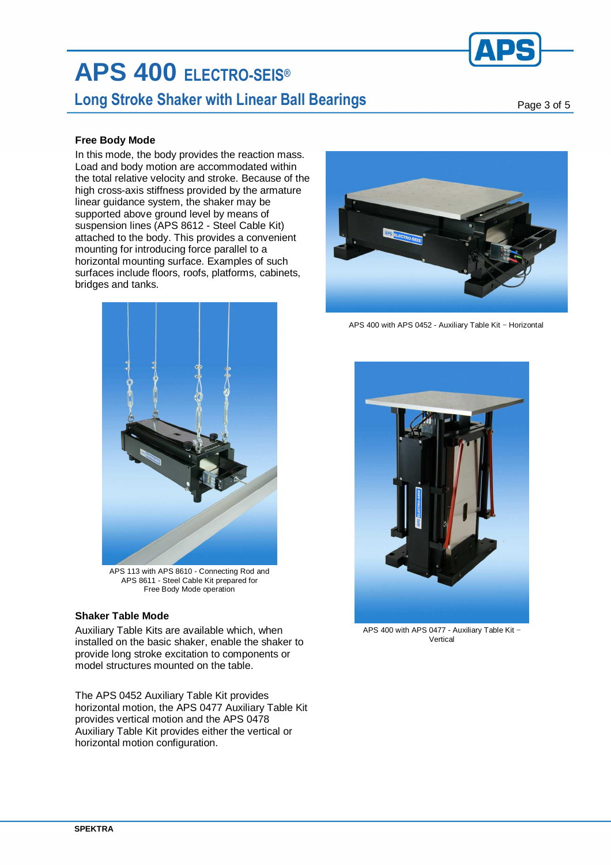

# **APS 400 ELECTRO-SEIS®**

### **Long Stroke Shaker with Linear Ball Bearings**

Page 3 of 5

### **Free Body Mode**

In this mode, the body provides the reaction mass. Load and body motion are accommodated within the total relative velocity and stroke. Because of the high cross-axis stiffness provided by the armature linear guidance system, the shaker may be supported above ground level by means of suspension lines (APS 8612 - Steel Cable Kit) attached to the body. This provides a convenient mounting for introducing force parallel to a horizontal mounting surface. Examples of such surfaces include floors, roofs, platforms, cabinets, bridges and tanks.



APS 113 with APS 8610 - Connecting Rod and APS 8611 - Steel Cable Kit prepared for Free Body Mode operation

### **Shaker Table Mode**

Auxiliary Table Kits are available which, when installed on the basic shaker, enable the shaker to provide long stroke excitation to components or model structures mounted on the table.

The APS 0452 Auxiliary Table Kit provides horizontal motion, the APS 0477 Auxiliary Table Kit provides vertical motion and the APS 0478 Auxiliary Table Kit provides either the vertical or horizontal motion configuration.



APS 400 with APS 0452 - Auxiliary Table Kit − Horizontal



APS 400 with APS 0477 - Auxiliary Table Kit − Vertical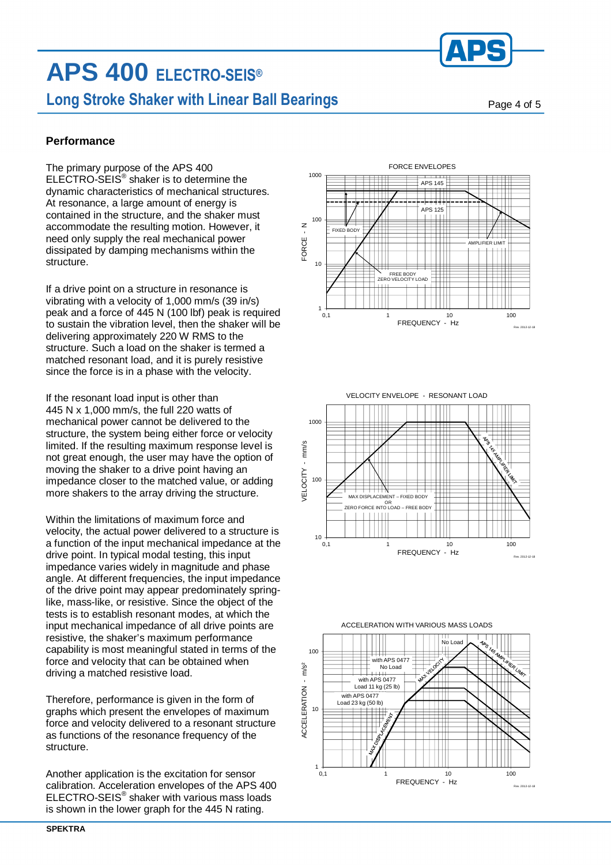## **APS 400 ELECTRO-SEIS® Long Stroke Shaker with Linear Ball Bearings Page 4 of 5** and  $P_{\text{a}}$  and  $\sigma$  5

### **Performance**

The primary purpose of the APS 400 ELECTRO-SEIS® shaker is to determine the dynamic characteristics of mechanical structures. At resonance, a large amount of energy is contained in the structure, and the shaker must accommodate the resulting motion. However, it need only supply the real mechanical power dissipated by damping mechanisms within the structure.

If a drive point on a structure in resonance is vibrating with a velocity of 1,000 mm/s (39 in/s) peak and a force of 445 N (100 lbf) peak is required to sustain the vibration level, then the shaker will be delivering approximately 220 W RMS to the structure. Such a load on the shaker is termed a matched resonant load, and it is purely resistive since the force is in a phase with the velocity.

If the resonant load input is other than 445 N x 1,000 mm/s, the full 220 watts of mechanical power cannot be delivered to the structure, the system being either force or velocity limited. If the resulting maximum response level is not great enough, the user may have the option of moving the shaker to a drive point having an impedance closer to the matched value, or adding more shakers to the array driving the structure.

Within the limitations of maximum force and velocity, the actual power delivered to a structure is a function of the input mechanical impedance at the drive point. In typical modal testing, this input impedance varies widely in magnitude and phase angle. At different frequencies, the input impedance of the drive point may appear predominately springlike, mass-like, or resistive. Since the object of the tests is to establish resonant modes, at which the input mechanical impedance of all drive points are resistive, the shaker's maximum performance capability is most meaningful stated in terms of the force and velocity that can be obtained when driving a matched resistive load.

Therefore, performance is given in the form of graphs which present the envelopes of maximum force and velocity delivered to a resonant structure as functions of the resonance frequency of the structure.

Another application is the excitation for sensor calibration. Acceleration envelopes of the APS 400  $ELECTRO-SEIS<sup>®</sup>$  shaker with various mass loads is shown in the lower graph for the 445 N rating.